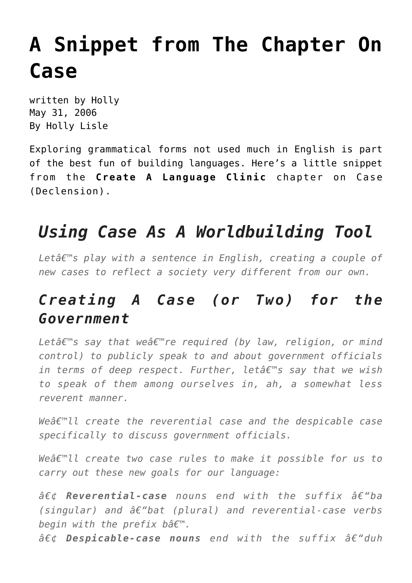## **[A Snippet from The Chapter On](https://hollylisle.com/a-snippet-from-the-chapter-on-case/) [Case](https://hollylisle.com/a-snippet-from-the-chapter-on-case/)**

written by Holly May 31, 2006 [By Holly Lisle](https://hollylisle.com)

Exploring grammatical forms not used much in English is part of the best fun of building languages. Here's a little snippet from the **Create A Language Clinic** chapter on Case (Declension).

## *Using Case As A Worldbuilding Tool*

Letâ€<sup>™</sup>s play with a sentence in English, creating a couple of *new cases to reflect a society very different from our own.*

## *Creating A Case (or Two) for the Government*

Letâ€<sup>™</sup>s say that weâ€<sup>™</sup>re required (by law, religion, or mind *control) to publicly speak to and about government officials in terms of deep respect. Further, let's say that we wish to speak of them among ourselves in, ah, a somewhat less reverent manner.*

*Weâ€*<sup>™11</sup> create the reverential case and the despicable case *specifically to discuss government officials.*

*Weâ€*<sup>™11</sup> create two case rules to make it possible for us to *carry out these new goals for our language:*

• **Reverential-case** nouns end with the suffix â€"ba  $(singular)$  and  $\hat{a}\epsilon$ "bat (plural) and reverential-case verbs *begin with the prefix bâ€*™.

 $\hat{a} \in \mathcal{C}$  **Despicable-case nouns** end with the suffix  $\hat{a} \in \mathcal{C}$  duh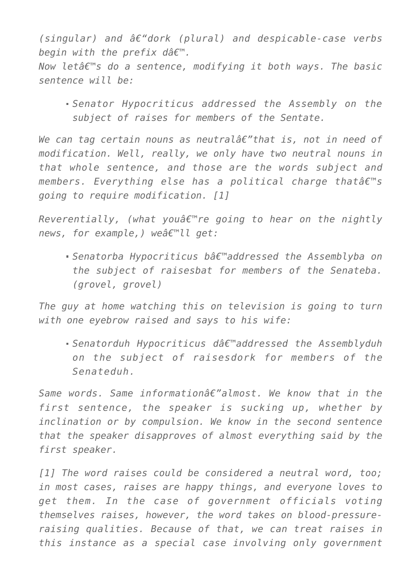$(singular)$  and  $\hat{a}\epsilon$ "dork (plural) and despicable-case verbs begin with the prefix dâ $\varepsilon$ <sup>m</sup>.

*Now letâ€<sup>™</sup>s do a sentence, modifying it both ways. The basic sentence will be:*

*Senator Hypocriticus addressed the Assembly on the subject of raises for members of the Sentate.*

*We can tag certain nouns as neutralâ€"that is, not in need of modification. Well, really, we only have two neutral nouns in that whole sentence, and those are the words subject and* members. Everything else has a political charge thatâ€<sup>™</sup>s *going to require modification. [1]*

*Reverentially, (what you're going to hear on the nightly news, for example,)* weâ€<sup>™11</sup> get:

■ Senatorba Hypocriticus bâ€<sup>™</sup>addressed the Assemblyba on *the subject of raisesbat for members of the Senateba. (grovel, grovel)*

*The guy at home watching this on television is going to turn with one eyebrow raised and says to his wife:*

■ Senatorduh Hypocriticus dâ€<sup>™</sup>addressed the Assemblyduh *on the subject of raisesdork for members of the Senateduh.*

Same words. Same informationa<sup>2</sup> almost. We know that in the *first sentence, the speaker is sucking up, whether by inclination or by compulsion. We know in the second sentence that the speaker disapproves of almost everything said by the first speaker.*

*[1] The word raises could be considered a neutral word, too; in most cases, raises are happy things, and everyone loves to get them. In the case of government officials voting themselves raises, however, the word takes on blood-pressureraising qualities. Because of that, we can treat raises in this instance as a special case involving only government*